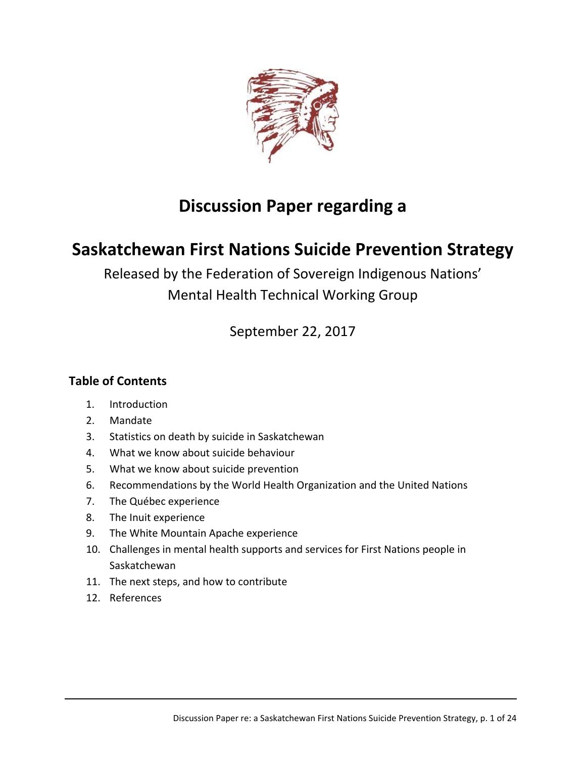

# **Discussion Paper regarding a**

# **Saskatchewan First Nations Suicide Prevention Strategy**

Released by the Federation of Sovereign Indigenous Nations' Mental Health Technical Working Group

September 22, 2017

# **Table of Contents**

- 1. Introduction
- 2. Mandate
- 3. Statistics on death by suicide in Saskatchewan
- 4. What we know about suicide behaviour
- 5. What we know about suicide prevention
- 6. Recommendations by the World Health Organization and the United Nations
- 7. The Québec experience
- 8. The Inuit experience
- 9. The White Mountain Apache experience
- 10. Challenges in mental health supports and services for First Nations people in Saskatchewan
- 11. The next steps, and how to contribute
- 12. References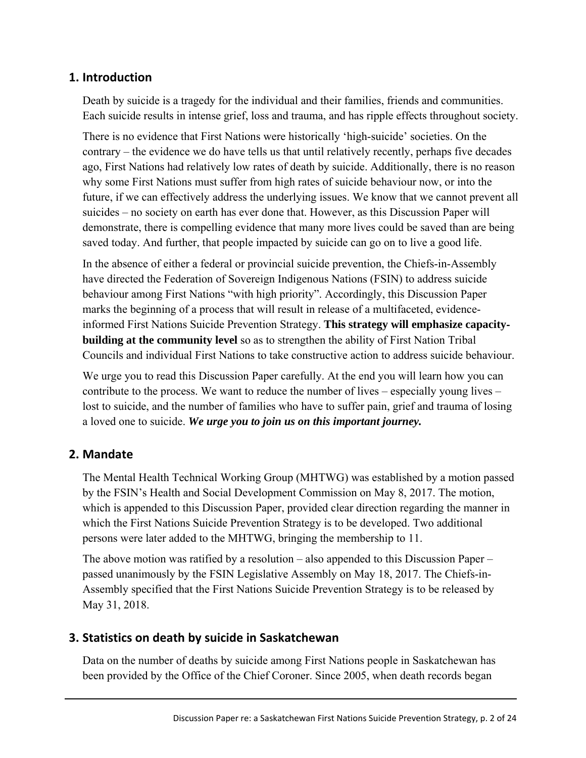## **1. Introduction**

Death by suicide is a tragedy for the individual and their families, friends and communities. Each suicide results in intense grief, loss and trauma, and has ripple effects throughout society.

There is no evidence that First Nations were historically 'high-suicide' societies. On the contrary – the evidence we do have tells us that until relatively recently, perhaps five decades ago, First Nations had relatively low rates of death by suicide. Additionally, there is no reason why some First Nations must suffer from high rates of suicide behaviour now, or into the future, if we can effectively address the underlying issues. We know that we cannot prevent all suicides – no society on earth has ever done that. However, as this Discussion Paper will demonstrate, there is compelling evidence that many more lives could be saved than are being saved today. And further, that people impacted by suicide can go on to live a good life.

In the absence of either a federal or provincial suicide prevention, the Chiefs-in-Assembly have directed the Federation of Sovereign Indigenous Nations (FSIN) to address suicide behaviour among First Nations "with high priority". Accordingly, this Discussion Paper marks the beginning of a process that will result in release of a multifaceted, evidenceinformed First Nations Suicide Prevention Strategy. **This strategy will emphasize capacity**‐ **building at the community level** so as to strengthen the ability of First Nation Tribal Councils and individual First Nations to take constructive action to address suicide behaviour.

We urge you to read this Discussion Paper carefully. At the end you will learn how you can contribute to the process. We want to reduce the number of lives – especially young lives – lost to suicide, and the number of families who have to suffer pain, grief and trauma of losing a loved one to suicide. *We urge you to join us on this important journey.*

# **2. Mandate**

The Mental Health Technical Working Group (MHTWG) was established by a motion passed by the FSIN's Health and Social Development Commission on May 8, 2017. The motion, which is appended to this Discussion Paper, provided clear direction regarding the manner in which the First Nations Suicide Prevention Strategy is to be developed. Two additional persons were later added to the MHTWG, bringing the membership to 11.

The above motion was ratified by a resolution – also appended to this Discussion Paper – passed unanimously by the FSIN Legislative Assembly on May 18, 2017. The Chiefs-in-Assembly specified that the First Nations Suicide Prevention Strategy is to be released by May 31, 2018.

# **3. Statistics on death by suicide in Saskatchewan**

Data on the number of deaths by suicide among First Nations people in Saskatchewan has been provided by the Office of the Chief Coroner. Since 2005, when death records began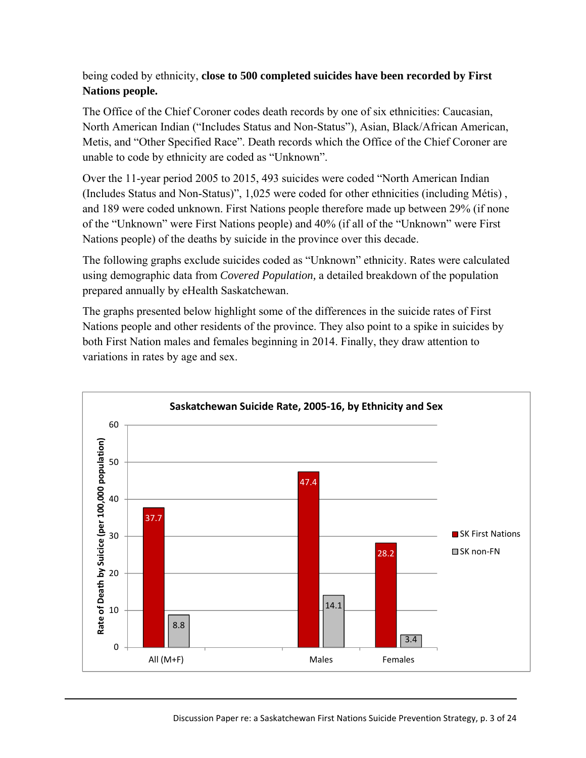## being coded by ethnicity, **close to 500 completed suicides have been recorded by First Nations people.**

The Office of the Chief Coroner codes death records by one of six ethnicities: Caucasian, North American Indian ("Includes Status and Non-Status"), Asian, Black/African American, Metis, and "Other Specified Race". Death records which the Office of the Chief Coroner are unable to code by ethnicity are coded as "Unknown".

Over the 11-year period 2005 to 2015, 493 suicides were coded "North American Indian (Includes Status and Non-Status)", 1,025 were coded for other ethnicities (including Métis) , and 189 were coded unknown. First Nations people therefore made up between 29% (if none of the "Unknown" were First Nations people) and 40% (if all of the "Unknown" were First Nations people) of the deaths by suicide in the province over this decade.

The following graphs exclude suicides coded as "Unknown" ethnicity. Rates were calculated using demographic data from *Covered Population,* a detailed breakdown of the population prepared annually by eHealth Saskatchewan.

The graphs presented below highlight some of the differences in the suicide rates of First Nations people and other residents of the province. They also point to a spike in suicides by both First Nation males and females beginning in 2014. Finally, they draw attention to variations in rates by age and sex.

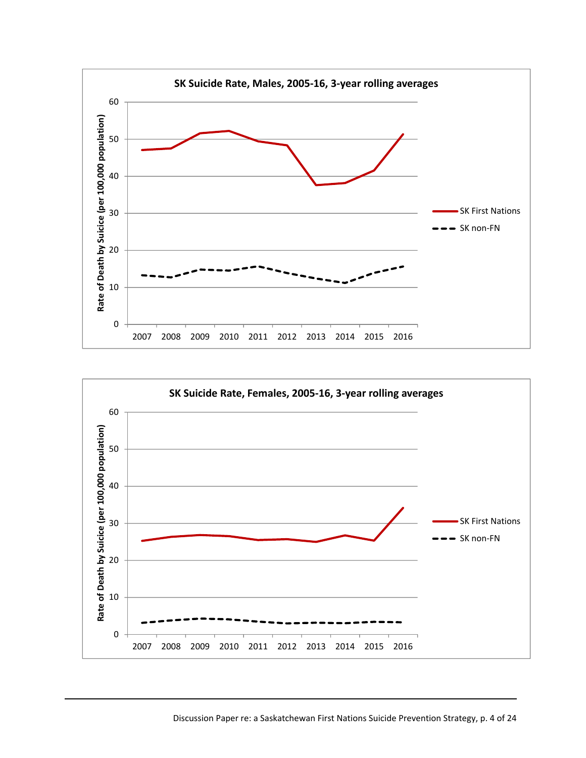

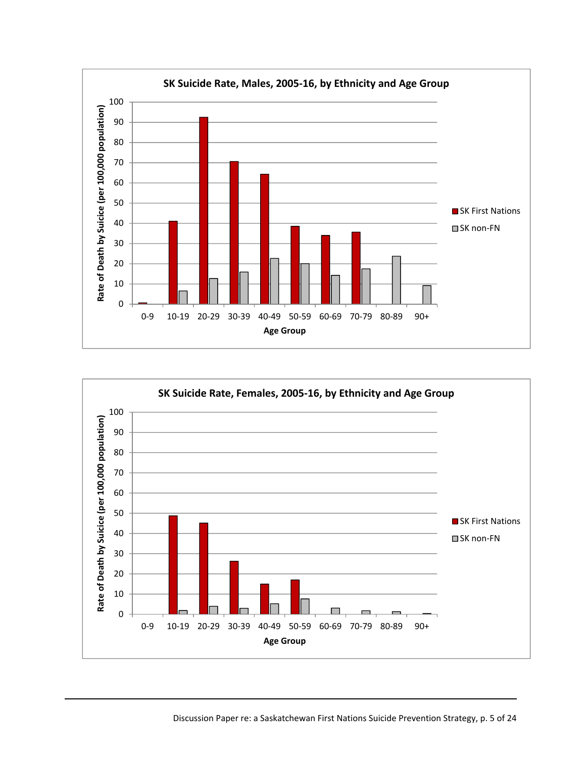

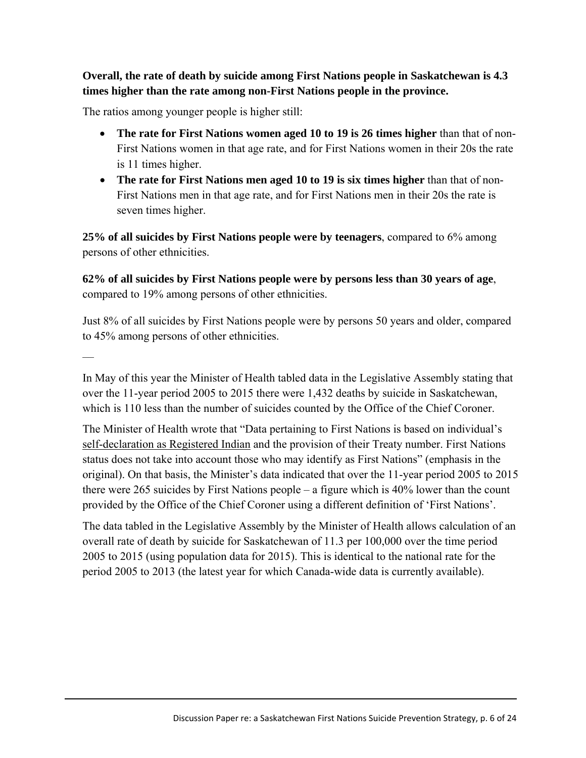**Overall, the rate of death by suicide among First Nations people in Saskatchewan is 4.3 times higher than the rate among non-First Nations people in the province.**

The ratios among younger people is higher still:

- **The rate for First Nations women aged 10 to 19 is 26 times higher** than that of non-First Nations women in that age rate, and for First Nations women in their 20s the rate is 11 times higher.
- **The rate for First Nations men aged 10 to 19 is six times higher** than that of non-First Nations men in that age rate, and for First Nations men in their 20s the rate is seven times higher.

**25% of all suicides by First Nations people were by teenagers**, compared to 6% among persons of other ethnicities.

**62% of all suicides by First Nations people were by persons less than 30 years of age**, compared to 19% among persons of other ethnicities.

Just 8% of all suicides by First Nations people were by persons 50 years and older, compared to 45% among persons of other ethnicities.

––

In May of this year the Minister of Health tabled data in the Legislative Assembly stating that over the 11-year period 2005 to 2015 there were 1,432 deaths by suicide in Saskatchewan, which is 110 less than the number of suicides counted by the Office of the Chief Coroner.

The Minister of Health wrote that "Data pertaining to First Nations is based on individual's self-declaration as Registered Indian and the provision of their Treaty number. First Nations status does not take into account those who may identify as First Nations" (emphasis in the original). On that basis, the Minister's data indicated that over the 11-year period 2005 to 2015 there were 265 suicides by First Nations people – a figure which is 40% lower than the count provided by the Office of the Chief Coroner using a different definition of 'First Nations'.

The data tabled in the Legislative Assembly by the Minister of Health allows calculation of an overall rate of death by suicide for Saskatchewan of 11.3 per 100,000 over the time period 2005 to 2015 (using population data for 2015). This is identical to the national rate for the period 2005 to 2013 (the latest year for which Canada-wide data is currently available).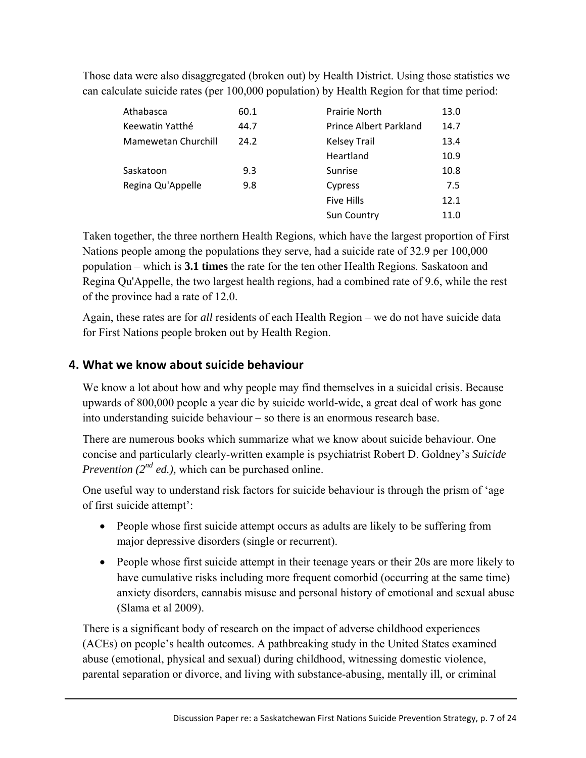Those data were also disaggregated (broken out) by Health District. Using those statistics we can calculate suicide rates (per 100,000 population) by Health Region for that time period:

| Athabasca           | 60.1 | <b>Prairie North</b>   | 13.0 |
|---------------------|------|------------------------|------|
| Keewatin Yatthé     | 44.7 | Prince Albert Parkland | 14.7 |
| Mamewetan Churchill | 24.2 | <b>Kelsey Trail</b>    | 13.4 |
|                     |      | Heartland              | 10.9 |
| Saskatoon           | 9.3  | Sunrise                | 10.8 |
| Regina Qu'Appelle   | 9.8  | Cypress                | 7.5  |
|                     |      | <b>Five Hills</b>      | 12.1 |
|                     |      | <b>Sun Country</b>     | 11.0 |

Taken together, the three northern Health Regions, which have the largest proportion of First Nations people among the populations they serve, had a suicide rate of 32.9 per 100,000 population – which is **3.1 times** the rate for the ten other Health Regions. Saskatoon and Regina Qu'Appelle, the two largest health regions, had a combined rate of 9.6, while the rest of the province had a rate of 12.0.

Again, these rates are for *all* residents of each Health Region – we do not have suicide data for First Nations people broken out by Health Region.

# **4. What we know about suicide behaviour**

We know a lot about how and why people may find themselves in a suicidal crisis. Because upwards of 800,000 people a year die by suicide world-wide, a great deal of work has gone into understanding suicide behaviour – so there is an enormous research base.

There are numerous books which summarize what we know about suicide behaviour. One concise and particularly clearly-written example is psychiatrist Robert D. Goldney's *Suicide Prevention (2<sup>nd</sup> ed.)*, which can be purchased online.

One useful way to understand risk factors for suicide behaviour is through the prism of 'age of first suicide attempt':

- People whose first suicide attempt occurs as adults are likely to be suffering from major depressive disorders (single or recurrent).
- People whose first suicide attempt in their teenage years or their 20s are more likely to have cumulative risks including more frequent comorbid (occurring at the same time) anxiety disorders, cannabis misuse and personal history of emotional and sexual abuse (Slama et al 2009).

There is a significant body of research on the impact of adverse childhood experiences (ACEs) on people's health outcomes. A pathbreaking study in the United States examined abuse (emotional, physical and sexual) during childhood, witnessing domestic violence, parental separation or divorce, and living with substance-abusing, mentally ill, or criminal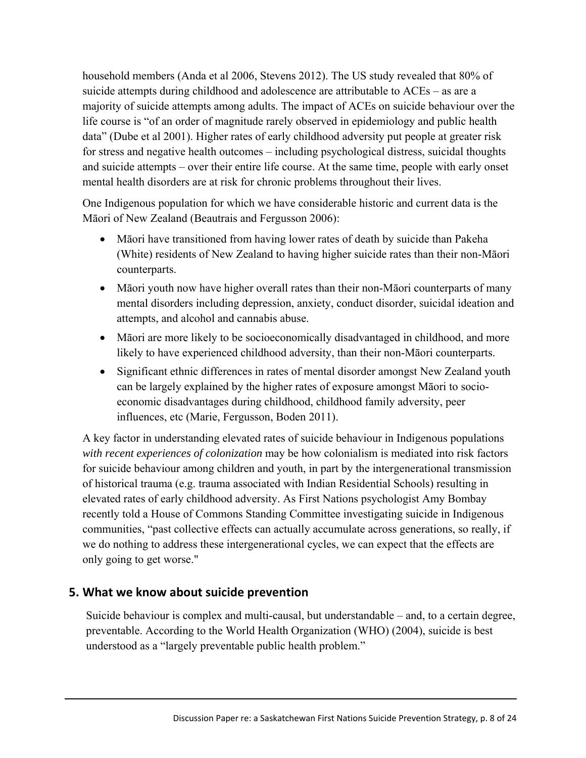household members (Anda et al 2006, Stevens 2012). The US study revealed that 80% of suicide attempts during childhood and adolescence are attributable to ACEs – as are a majority of suicide attempts among adults. The impact of ACEs on suicide behaviour over the life course is "of an order of magnitude rarely observed in epidemiology and public health data" (Dube et al 2001). Higher rates of early childhood adversity put people at greater risk for stress and negative health outcomes – including psychological distress, suicidal thoughts and suicide attempts – over their entire life course. At the same time, people with early onset mental health disorders are at risk for chronic problems throughout their lives.

One Indigenous population for which we have considerable historic and current data is the Māori of New Zealand (Beautrais and Fergusson 2006):

- Māori have transitioned from having lower rates of death by suicide than Pakeha (White) residents of New Zealand to having higher suicide rates than their non-Māori counterparts.
- Māori youth now have higher overall rates than their non-Māori counterparts of many mental disorders including depression, anxiety, conduct disorder, suicidal ideation and attempts, and alcohol and cannabis abuse.
- Māori are more likely to be socioeconomically disadvantaged in childhood, and more likely to have experienced childhood adversity, than their non-Māori counterparts.
- Significant ethnic differences in rates of mental disorder amongst New Zealand youth can be largely explained by the higher rates of exposure amongst Māori to socioeconomic disadvantages during childhood, childhood family adversity, peer influences, etc (Marie, Fergusson, Boden 2011).

A key factor in understanding elevated rates of suicide behaviour in Indigenous populations *with recent experiences of colonization* may be how colonialism is mediated into risk factors for suicide behaviour among children and youth, in part by the intergenerational transmission of historical trauma (e.g. trauma associated with Indian Residential Schools) resulting in elevated rates of early childhood adversity. As First Nations psychologist Amy Bombay recently told a House of Commons Standing Committee investigating suicide in Indigenous communities, "past collective effects can actually accumulate across generations, so really, if we do nothing to address these intergenerational cycles, we can expect that the effects are only going to get worse."

# **5. What we know about suicide prevention**

Suicide behaviour is complex and multi-causal, but understandable – and, to a certain degree, preventable. According to the World Health Organization (WHO) (2004), suicide is best understood as a "largely preventable public health problem."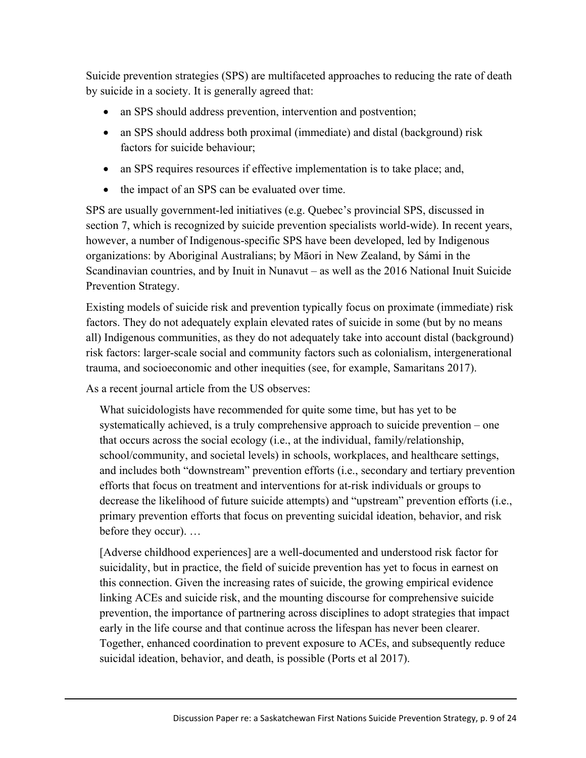Suicide prevention strategies (SPS) are multifaceted approaches to reducing the rate of death by suicide in a society. It is generally agreed that:

- an SPS should address prevention, intervention and postvention;
- an SPS should address both proximal (immediate) and distal (background) risk factors for suicide behaviour;
- an SPS requires resources if effective implementation is to take place; and,
- the impact of an SPS can be evaluated over time.

SPS are usually government-led initiatives (e.g. Quebec's provincial SPS, discussed in section 7, which is recognized by suicide prevention specialists world-wide). In recent years, however, a number of Indigenous-specific SPS have been developed, led by Indigenous organizations: by Aboriginal Australians; by Māori in New Zealand, by Sámi in the Scandinavian countries, and by Inuit in Nunavut – as well as the 2016 National Inuit Suicide Prevention Strategy.

Existing models of suicide risk and prevention typically focus on proximate (immediate) risk factors. They do not adequately explain elevated rates of suicide in some (but by no means all) Indigenous communities, as they do not adequately take into account distal (background) risk factors: larger-scale social and community factors such as colonialism, intergenerational trauma, and socioeconomic and other inequities (see, for example, Samaritans 2017).

As a recent journal article from the US observes:

What suicidologists have recommended for quite some time, but has yet to be systematically achieved, is a truly comprehensive approach to suicide prevention – one that occurs across the social ecology (i.e., at the individual, family/relationship, school/community, and societal levels) in schools, workplaces, and healthcare settings, and includes both "downstream" prevention efforts (i.e., secondary and tertiary prevention efforts that focus on treatment and interventions for at-risk individuals or groups to decrease the likelihood of future suicide attempts) and "upstream" prevention efforts (i.e., primary prevention efforts that focus on preventing suicidal ideation, behavior, and risk before they occur). …

[Adverse childhood experiences] are a well-documented and understood risk factor for suicidality, but in practice, the field of suicide prevention has yet to focus in earnest on this connection. Given the increasing rates of suicide, the growing empirical evidence linking ACEs and suicide risk, and the mounting discourse for comprehensive suicide prevention, the importance of partnering across disciplines to adopt strategies that impact early in the life course and that continue across the lifespan has never been clearer. Together, enhanced coordination to prevent exposure to ACEs, and subsequently reduce suicidal ideation, behavior, and death, is possible (Ports et al 2017).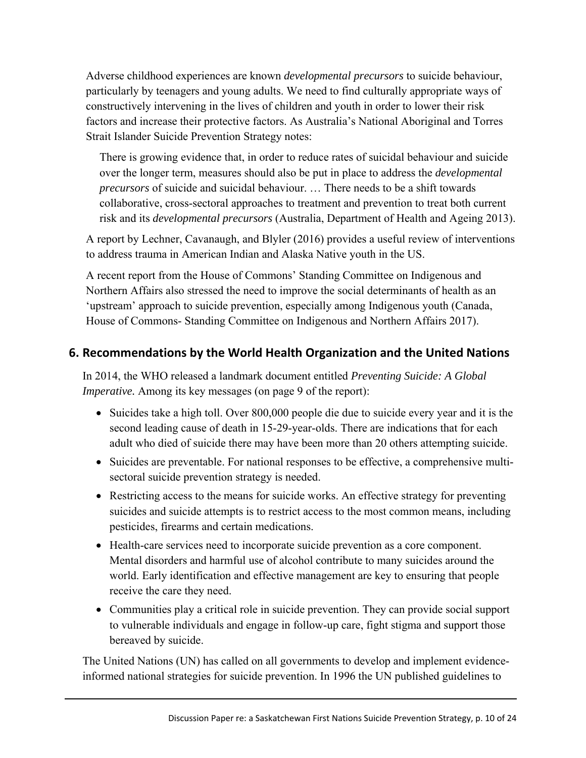Adverse childhood experiences are known *developmental precursors* to suicide behaviour, particularly by teenagers and young adults. We need to find culturally appropriate ways of constructively intervening in the lives of children and youth in order to lower their risk factors and increase their protective factors. As Australia's National Aboriginal and Torres Strait Islander Suicide Prevention Strategy notes:

There is growing evidence that, in order to reduce rates of suicidal behaviour and suicide over the longer term, measures should also be put in place to address the *developmental precursors* of suicide and suicidal behaviour. … There needs to be a shift towards collaborative, cross-sectoral approaches to treatment and prevention to treat both current risk and its *developmental precursors* (Australia, Department of Health and Ageing 2013).

A report by Lechner, Cavanaugh, and Blyler (2016) provides a useful review of interventions to address trauma in American Indian and Alaska Native youth in the US.

A recent report from the House of Commons' Standing Committee on Indigenous and Northern Affairs also stressed the need to improve the social determinants of health as an 'upstream' approach to suicide prevention, especially among Indigenous youth (Canada, House of Commons- Standing Committee on Indigenous and Northern Affairs 2017).

# **6. Recommendations by the World Health Organization and the United Nations**

In 2014, the WHO released a landmark document entitled *Preventing Suicide: A Global Imperative.* Among its key messages (on page 9 of the report):

- Suicides take a high toll. Over 800,000 people die due to suicide every year and it is the second leading cause of death in 15-29-year-olds. There are indications that for each adult who died of suicide there may have been more than 20 others attempting suicide.
- Suicides are preventable. For national responses to be effective, a comprehensive multisectoral suicide prevention strategy is needed.
- Restricting access to the means for suicide works. An effective strategy for preventing suicides and suicide attempts is to restrict access to the most common means, including pesticides, firearms and certain medications.
- Health-care services need to incorporate suicide prevention as a core component. Mental disorders and harmful use of alcohol contribute to many suicides around the world. Early identification and effective management are key to ensuring that people receive the care they need.
- Communities play a critical role in suicide prevention. They can provide social support to vulnerable individuals and engage in follow-up care, fight stigma and support those bereaved by suicide.

The United Nations (UN) has called on all governments to develop and implement evidenceinformed national strategies for suicide prevention. In 1996 the UN published guidelines to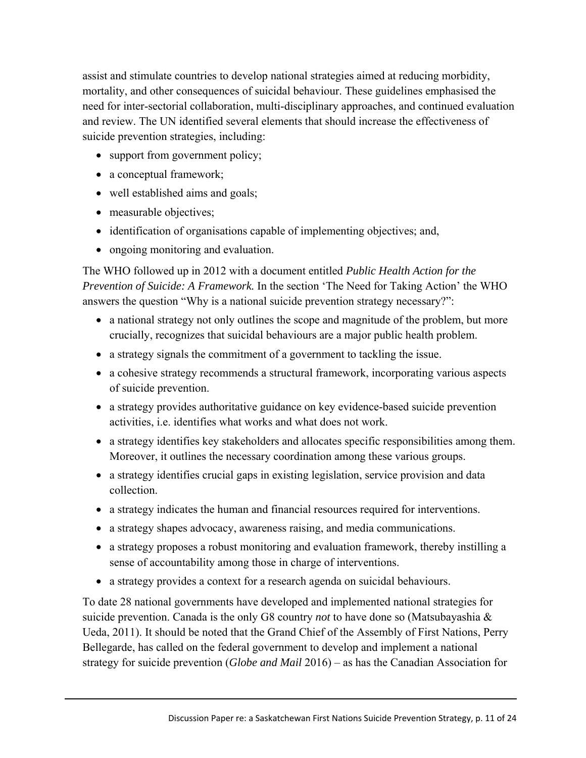assist and stimulate countries to develop national strategies aimed at reducing morbidity, mortality, and other consequences of suicidal behaviour. These guidelines emphasised the need for inter-sectorial collaboration, multi-disciplinary approaches, and continued evaluation and review. The UN identified several elements that should increase the effectiveness of suicide prevention strategies, including:

- support from government policy;
- a conceptual framework;
- well established aims and goals;
- measurable objectives;
- identification of organisations capable of implementing objectives; and,
- ongoing monitoring and evaluation.

The WHO followed up in 2012 with a document entitled *Public Health Action for the Prevention of Suicide: A Framework.* In the section 'The Need for Taking Action' the WHO answers the question "Why is a national suicide prevention strategy necessary?":

- a national strategy not only outlines the scope and magnitude of the problem, but more crucially, recognizes that suicidal behaviours are a major public health problem.
- a strategy signals the commitment of a government to tackling the issue.
- a cohesive strategy recommends a structural framework, incorporating various aspects of suicide prevention.
- a strategy provides authoritative guidance on key evidence-based suicide prevention activities, i.e. identifies what works and what does not work.
- a strategy identifies key stakeholders and allocates specific responsibilities among them. Moreover, it outlines the necessary coordination among these various groups.
- a strategy identifies crucial gaps in existing legislation, service provision and data collection.
- a strategy indicates the human and financial resources required for interventions.
- a strategy shapes advocacy, awareness raising, and media communications.
- a strategy proposes a robust monitoring and evaluation framework, thereby instilling a sense of accountability among those in charge of interventions.
- a strategy provides a context for a research agenda on suicidal behaviours.

To date 28 national governments have developed and implemented national strategies for suicide prevention. Canada is the only G8 country *not* to have done so (Matsubayashia & Ueda, 2011). It should be noted that the Grand Chief of the Assembly of First Nations, Perry Bellegarde, has called on the federal government to develop and implement a national strategy for suicide prevention (*Globe and Mail* 2016) – as has the Canadian Association for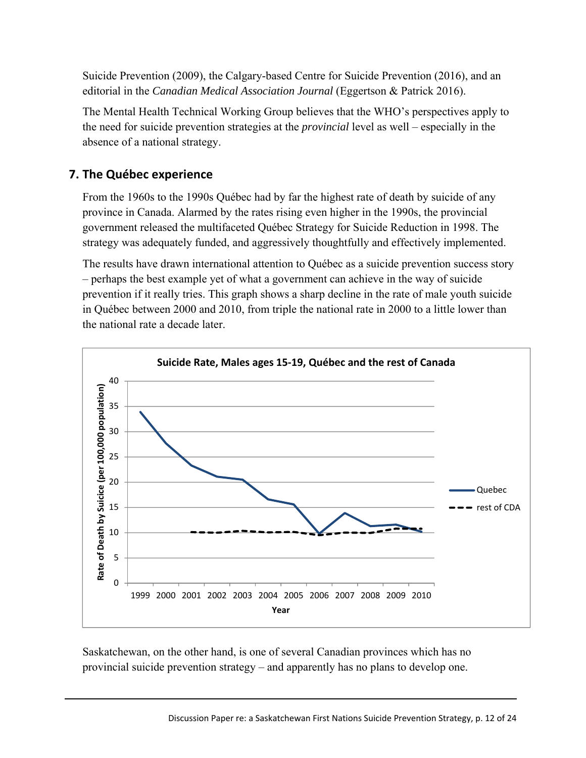Suicide Prevention (2009), the Calgary-based Centre for Suicide Prevention (2016), and an editorial in the *Canadian Medical Association Journal* (Eggertson & Patrick 2016).

The Mental Health Technical Working Group believes that the WHO's perspectives apply to the need for suicide prevention strategies at the *provincial* level as well – especially in the absence of a national strategy.

# **7. The Québec experience**

From the 1960s to the 1990s Québec had by far the highest rate of death by suicide of any province in Canada. Alarmed by the rates rising even higher in the 1990s, the provincial government released the multifaceted Québec Strategy for Suicide Reduction in 1998. The strategy was adequately funded, and aggressively thoughtfully and effectively implemented.

The results have drawn international attention to Québec as a suicide prevention success story – perhaps the best example yet of what a government can achieve in the way of suicide prevention if it really tries. This graph shows a sharp decline in the rate of male youth suicide in Québec between 2000 and 2010, from triple the national rate in 2000 to a little lower than the national rate a decade later.



Saskatchewan, on the other hand, is one of several Canadian provinces which has no provincial suicide prevention strategy – and apparently has no plans to develop one.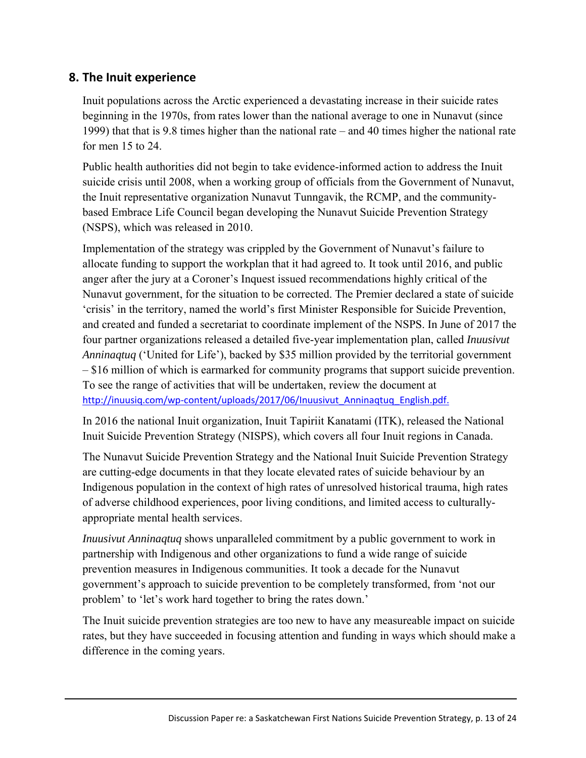## **8. The Inuit experience**

Inuit populations across the Arctic experienced a devastating increase in their suicide rates beginning in the 1970s, from rates lower than the national average to one in Nunavut (since 1999) that that is 9.8 times higher than the national rate – and 40 times higher the national rate for men 15 to 24.

Public health authorities did not begin to take evidence-informed action to address the Inuit suicide crisis until 2008, when a working group of officials from the Government of Nunavut, the Inuit representative organization Nunavut Tunngavik, the RCMP, and the communitybased Embrace Life Council began developing the Nunavut Suicide Prevention Strategy (NSPS), which was released in 2010.

Implementation of the strategy was crippled by the Government of Nunavut's failure to allocate funding to support the workplan that it had agreed to. It took until 2016, and public anger after the jury at a Coroner's Inquest issued recommendations highly critical of the Nunavut government, for the situation to be corrected. The Premier declared a state of suicide 'crisis' in the territory, named the world's first Minister Responsible for Suicide Prevention, and created and funded a secretariat to coordinate implement of the NSPS. In June of 2017 the four partner organizations released a detailed five-year implementation plan, called *Inuusivut Anninaqtuq* ('United for Life'), backed by \$35 million provided by the territorial government – \$16 million of which is earmarked for community programs that support suicide prevention. To see the range of activities that will be undertaken, review the document at http://inuusiq.com/wp-content/uploads/2017/06/Inuusivut\_Anninaqtuq\_English.pdf.

In 2016 the national Inuit organization, Inuit Tapiriit Kanatami (ITK), released the National Inuit Suicide Prevention Strategy (NISPS), which covers all four Inuit regions in Canada.

The Nunavut Suicide Prevention Strategy and the National Inuit Suicide Prevention Strategy are cutting-edge documents in that they locate elevated rates of suicide behaviour by an Indigenous population in the context of high rates of unresolved historical trauma, high rates of adverse childhood experiences, poor living conditions, and limited access to culturallyappropriate mental health services.

*Inuusivut Anninaqtuq* shows unparalleled commitment by a public government to work in partnership with Indigenous and other organizations to fund a wide range of suicide prevention measures in Indigenous communities. It took a decade for the Nunavut government's approach to suicide prevention to be completely transformed, from 'not our problem' to 'let's work hard together to bring the rates down.'

The Inuit suicide prevention strategies are too new to have any measureable impact on suicide rates, but they have succeeded in focusing attention and funding in ways which should make a difference in the coming years.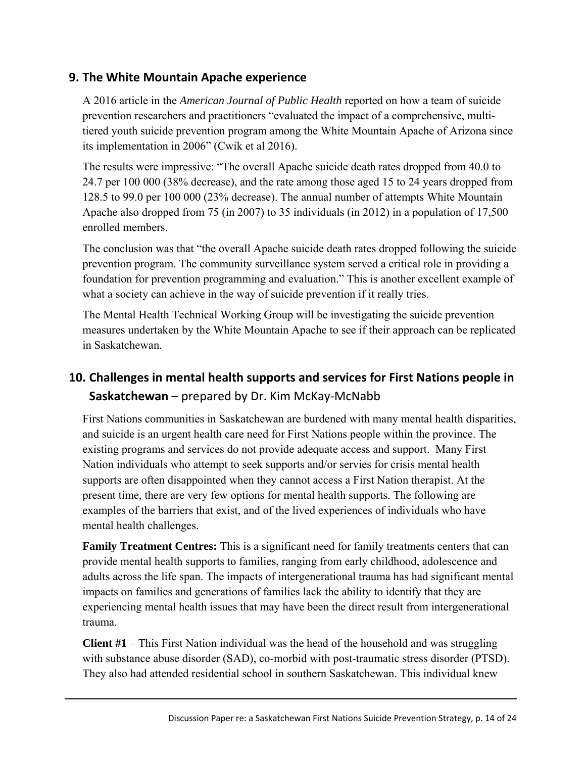# **9. The White Mountain Apache experience**

A 2016 article in the *American Journal of Public Health* reported on how a team of suicide prevention researchers and practitioners "evaluated the impact of a comprehensive, multitiered youth suicide prevention program among the White Mountain Apache of Arizona since its implementation in 2006" (Cwik et al 2016).

The results were impressive: "The overall Apache suicide death rates dropped from 40.0 to 24.7 per 100 000 (38% decrease), and the rate among those aged 15 to 24 years dropped from 128.5 to 99.0 per 100 000 (23% decrease). The annual number of attempts White Mountain Apache also dropped from 75 (in 2007) to 35 individuals (in 2012) in a population of 17,500 enrolled members.

The conclusion was that "the overall Apache suicide death rates dropped following the suicide prevention program. The community surveillance system served a critical role in providing a foundation for prevention programming and evaluation." This is another excellent example of what a society can achieve in the way of suicide prevention if it really tries.

The Mental Health Technical Working Group will be investigating the suicide prevention measures undertaken by the White Mountain Apache to see if their approach can be replicated in Saskatchewan.

# **10. Challenges in mental health supports and services for First Nations people in Saskatchewan** – prepared by Dr. Kim McKay‐McNabb

First Nations communities in Saskatchewan are burdened with many mental health disparities, and suicide is an urgent health care need for First Nations people within the province. The existing programs and services do not provide adequate access and support. Many First Nation individuals who attempt to seek supports and/or servies for crisis mental health supports are often disappointed when they cannot access a First Nation therapist. At the present time, there are very few options for mental health supports. The following are examples of the barriers that exist, and of the lived experiences of individuals who have mental health challenges.

**Family Treatment Centres:** This is a significant need for family treatments centers that can provide mental health supports to families, ranging from early childhood, adolescence and adults across the life span. The impacts of intergenerational trauma has had significant mental impacts on families and generations of families lack the ability to identify that they are experiencing mental health issues that may have been the direct result from intergenerational trauma.

**Client #1** – This First Nation individual was the head of the household and was struggling with substance abuse disorder (SAD), co-morbid with post-traumatic stress disorder (PTSD). They also had attended residential school in southern Saskatchewan. This individual knew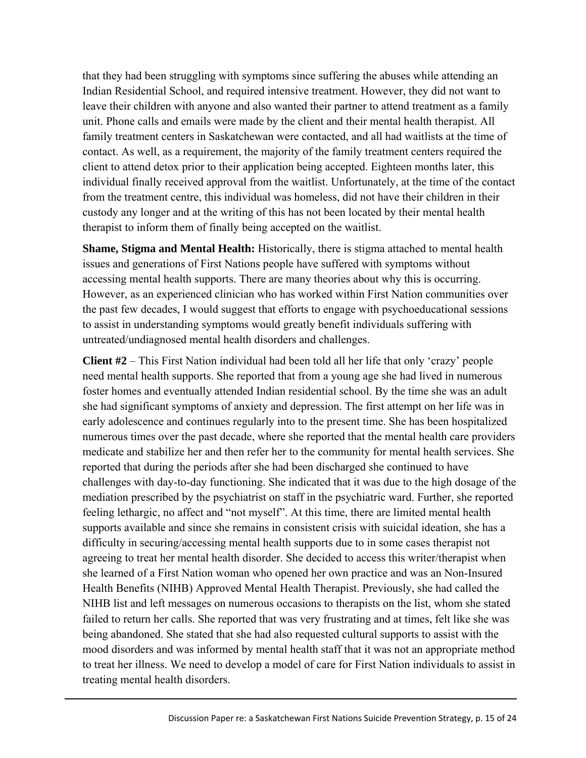that they had been struggling with symptoms since suffering the abuses while attending an Indian Residential School, and required intensive treatment. However, they did not want to leave their children with anyone and also wanted their partner to attend treatment as a family unit. Phone calls and emails were made by the client and their mental health therapist. All family treatment centers in Saskatchewan were contacted, and all had waitlists at the time of contact. As well, as a requirement, the majority of the family treatment centers required the client to attend detox prior to their application being accepted. Eighteen months later, this individual finally received approval from the waitlist. Unfortunately, at the time of the contact from the treatment centre, this individual was homeless, did not have their children in their custody any longer and at the writing of this has not been located by their mental health therapist to inform them of finally being accepted on the waitlist.

**Shame, Stigma and Mental Health:** Historically, there is stigma attached to mental health issues and generations of First Nations people have suffered with symptoms without accessing mental health supports. There are many theories about why this is occurring. However, as an experienced clinician who has worked within First Nation communities over the past few decades, I would suggest that efforts to engage with psychoeducational sessions to assist in understanding symptoms would greatly benefit individuals suffering with untreated/undiagnosed mental health disorders and challenges.

**Client #2** – This First Nation individual had been told all her life that only 'crazy' people need mental health supports. She reported that from a young age she had lived in numerous foster homes and eventually attended Indian residential school. By the time she was an adult she had significant symptoms of anxiety and depression. The first attempt on her life was in early adolescence and continues regularly into to the present time. She has been hospitalized numerous times over the past decade, where she reported that the mental health care providers medicate and stabilize her and then refer her to the community for mental health services. She reported that during the periods after she had been discharged she continued to have challenges with day-to-day functioning. She indicated that it was due to the high dosage of the mediation prescribed by the psychiatrist on staff in the psychiatric ward. Further, she reported feeling lethargic, no affect and "not myself". At this time, there are limited mental health supports available and since she remains in consistent crisis with suicidal ideation, she has a difficulty in securing/accessing mental health supports due to in some cases therapist not agreeing to treat her mental health disorder. She decided to access this writer/therapist when she learned of a First Nation woman who opened her own practice and was an Non-Insured Health Benefits (NIHB) Approved Mental Health Therapist. Previously, she had called the NIHB list and left messages on numerous occasions to therapists on the list, whom she stated failed to return her calls. She reported that was very frustrating and at times, felt like she was being abandoned. She stated that she had also requested cultural supports to assist with the mood disorders and was informed by mental health staff that it was not an appropriate method to treat her illness. We need to develop a model of care for First Nation individuals to assist in treating mental health disorders.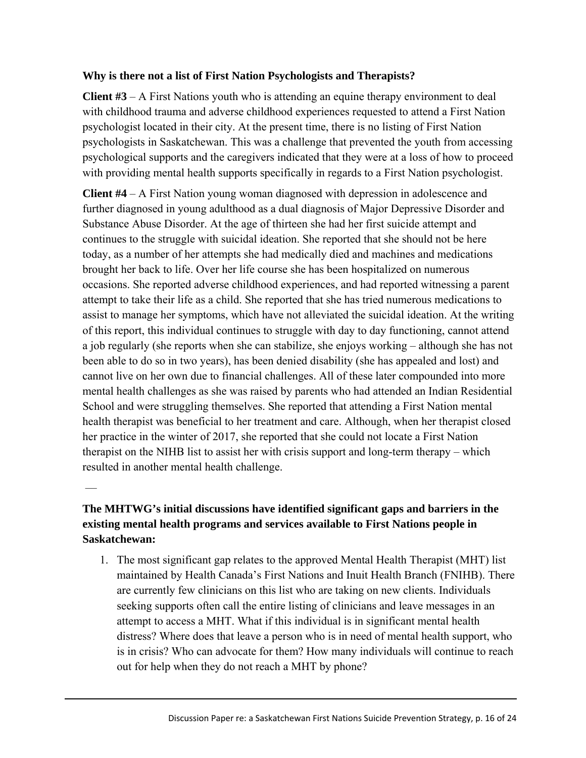### **Why is there not a list of First Nation Psychologists and Therapists?**

**Client #3** – A First Nations youth who is attending an equine therapy environment to deal with childhood trauma and adverse childhood experiences requested to attend a First Nation psychologist located in their city. At the present time, there is no listing of First Nation psychologists in Saskatchewan. This was a challenge that prevented the youth from accessing psychological supports and the caregivers indicated that they were at a loss of how to proceed with providing mental health supports specifically in regards to a First Nation psychologist.

**Client #4** – A First Nation young woman diagnosed with depression in adolescence and further diagnosed in young adulthood as a dual diagnosis of Major Depressive Disorder and Substance Abuse Disorder. At the age of thirteen she had her first suicide attempt and continues to the struggle with suicidal ideation. She reported that she should not be here today, as a number of her attempts she had medically died and machines and medications brought her back to life. Over her life course she has been hospitalized on numerous occasions. She reported adverse childhood experiences, and had reported witnessing a parent attempt to take their life as a child. She reported that she has tried numerous medications to assist to manage her symptoms, which have not alleviated the suicidal ideation. At the writing of this report, this individual continues to struggle with day to day functioning, cannot attend a job regularly (she reports when she can stabilize, she enjoys working – although she has not been able to do so in two years), has been denied disability (she has appealed and lost) and cannot live on her own due to financial challenges. All of these later compounded into more mental health challenges as she was raised by parents who had attended an Indian Residential School and were struggling themselves. She reported that attending a First Nation mental health therapist was beneficial to her treatment and care. Although, when her therapist closed her practice in the winter of 2017, she reported that she could not locate a First Nation therapist on the NIHB list to assist her with crisis support and long-term therapy – which resulted in another mental health challenge.

## **The MHTWG's initial discussions have identified significant gaps and barriers in the existing mental health programs and services available to First Nations people in Saskatchewan:**

––

1. The most significant gap relates to the approved Mental Health Therapist (MHT) list maintained by Health Canada's First Nations and Inuit Health Branch (FNIHB). There are currently few clinicians on this list who are taking on new clients. Individuals seeking supports often call the entire listing of clinicians and leave messages in an attempt to access a MHT. What if this individual is in significant mental health distress? Where does that leave a person who is in need of mental health support, who is in crisis? Who can advocate for them? How many individuals will continue to reach out for help when they do not reach a MHT by phone?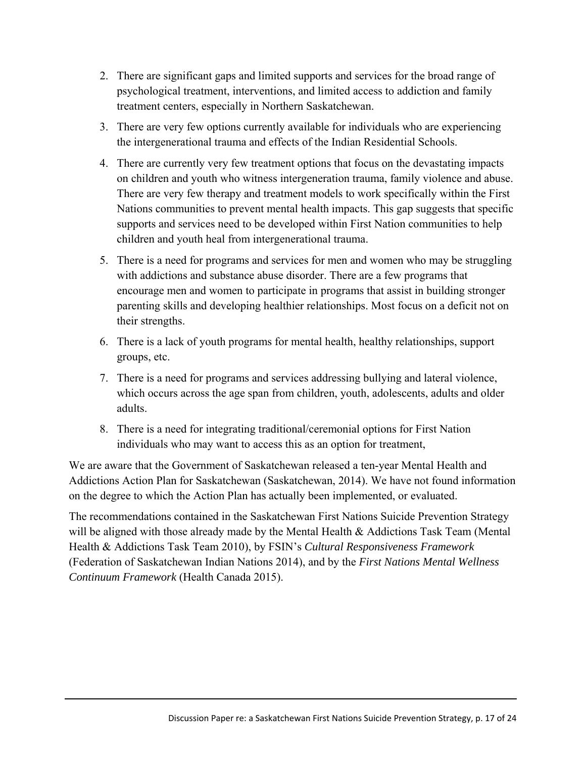- 2. There are significant gaps and limited supports and services for the broad range of psychological treatment, interventions, and limited access to addiction and family treatment centers, especially in Northern Saskatchewan.
- 3. There are very few options currently available for individuals who are experiencing the intergenerational trauma and effects of the Indian Residential Schools.
- 4. There are currently very few treatment options that focus on the devastating impacts on children and youth who witness intergeneration trauma, family violence and abuse. There are very few therapy and treatment models to work specifically within the First Nations communities to prevent mental health impacts. This gap suggests that specific supports and services need to be developed within First Nation communities to help children and youth heal from intergenerational trauma.
- 5. There is a need for programs and services for men and women who may be struggling with addictions and substance abuse disorder. There are a few programs that encourage men and women to participate in programs that assist in building stronger parenting skills and developing healthier relationships. Most focus on a deficit not on their strengths.
- 6. There is a lack of youth programs for mental health, healthy relationships, support groups, etc.
- 7. There is a need for programs and services addressing bullying and lateral violence, which occurs across the age span from children, youth, adolescents, adults and older adults.
- 8. There is a need for integrating traditional/ceremonial options for First Nation individuals who may want to access this as an option for treatment,

We are aware that the Government of Saskatchewan released a ten-year Mental Health and Addictions Action Plan for Saskatchewan (Saskatchewan, 2014). We have not found information on the degree to which the Action Plan has actually been implemented, or evaluated.

The recommendations contained in the Saskatchewan First Nations Suicide Prevention Strategy will be aligned with those already made by the Mental Health & Addictions Task Team (Mental Health & Addictions Task Team 2010), by FSIN's *Cultural Responsiveness Framework* (Federation of Saskatchewan Indian Nations 2014), and by the *First Nations Mental Wellness Continuum Framework* (Health Canada 2015).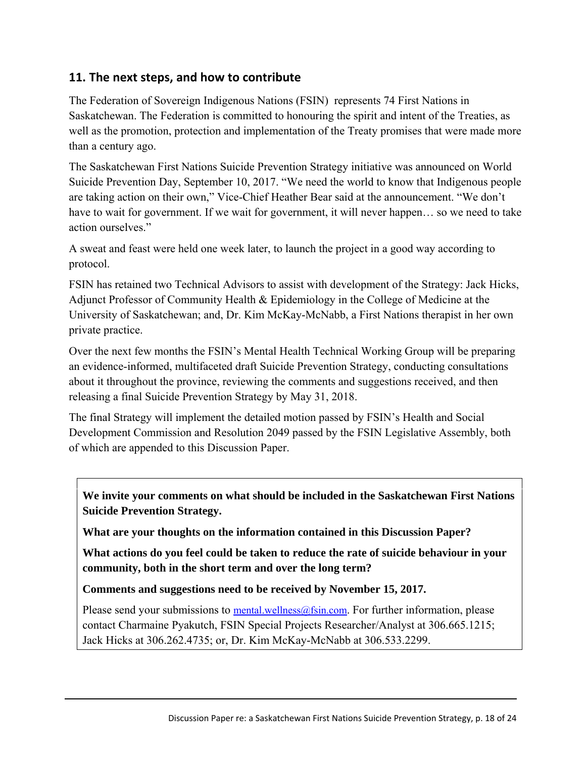## **11. The next steps, and how to contribute**

The Federation of Sovereign Indigenous Nations (FSIN) represents 74 First Nations in Saskatchewan. The Federation is committed to honouring the spirit and intent of the Treaties, as well as the promotion, protection and implementation of the Treaty promises that were made more than a century ago.

The Saskatchewan First Nations Suicide Prevention Strategy initiative was announced on World Suicide Prevention Day, September 10, 2017. "We need the world to know that Indigenous people are taking action on their own," Vice-Chief Heather Bear said at the announcement. "We don't have to wait for government. If we wait for government, it will never happen... so we need to take action ourselves."

A sweat and feast were held one week later, to launch the project in a good way according to protocol.

FSIN has retained two Technical Advisors to assist with development of the Strategy: Jack Hicks, Adjunct Professor of Community Health & Epidemiology in the College of Medicine at the University of Saskatchewan; and, Dr. Kim McKay-McNabb, a First Nations therapist in her own private practice.

Over the next few months the FSIN's Mental Health Technical Working Group will be preparing an evidence-informed, multifaceted draft Suicide Prevention Strategy, conducting consultations about it throughout the province, reviewing the comments and suggestions received, and then releasing a final Suicide Prevention Strategy by May 31, 2018.

The final Strategy will implement the detailed motion passed by FSIN's Health and Social Development Commission and Resolution 2049 passed by the FSIN Legislative Assembly, both of which are appended to this Discussion Paper.

**We invite your comments on what should be included in the Saskatchewan First Nations Suicide Prevention Strategy.** 

**What are your thoughts on the information contained in this Discussion Paper?** 

**What actions do you feel could be taken to reduce the rate of suicide behaviour in your community, both in the short term and over the long term?**

**Comments and suggestions need to be received by November 15, 2017.** 

Please send your submissions to mental.wellness@fsin.com. For further information, please contact Charmaine Pyakutch, FSIN Special Projects Researcher/Analyst at 306.665.1215; Jack Hicks at 306.262.4735; or, Dr. Kim McKay-McNabb at 306.533.2299.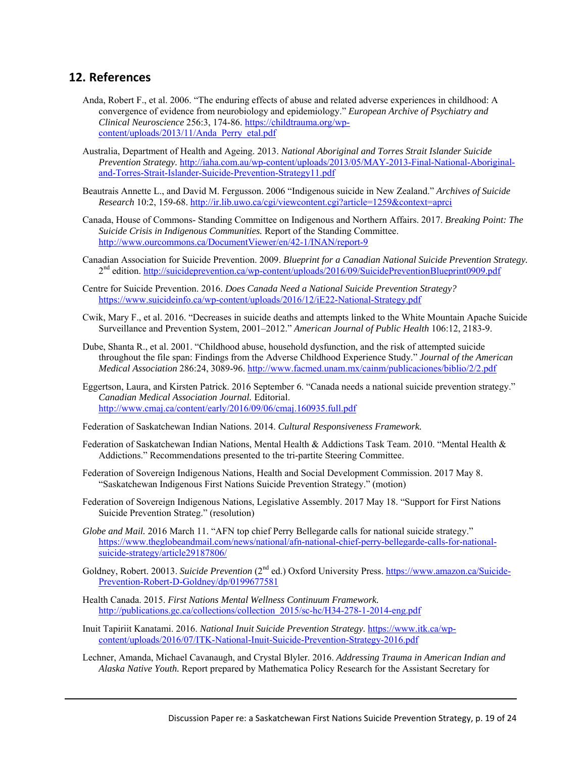### **12. References**

- Anda, Robert F., et al. 2006. "The enduring effects of abuse and related adverse experiences in childhood: A convergence of evidence from neurobiology and epidemiology." *European Archive of Psychiatry and Clinical Neuroscience* 256:3, 174-86. https://childtrauma.org/wpcontent/uploads/2013/11/Anda\_Perry\_etal.pdf
- Australia, Department of Health and Ageing. 2013. *National Aboriginal and Torres Strait Islander Suicide Prevention Strategy.* http://iaha.com.au/wp-content/uploads/2013/05/MAY-2013-Final-National-Aboriginaland-Torres-Strait-Islander-Suicide-Prevention-Strategy11.pdf
- Beautrais Annette L., and David M. Fergusson. 2006 "Indigenous suicide in New Zealand." *Archives of Suicide Research* 10:2, 159-68. http://ir.lib.uwo.ca/cgi/viewcontent.cgi?article=1259&context=aprci
- Canada, House of Commons- Standing Committee on Indigenous and Northern Affairs. 2017. *Breaking Point: The Suicide Crisis in Indigenous Communities.* Report of the Standing Committee. http://www.ourcommons.ca/DocumentViewer/en/42-1/INAN/report-9
- Canadian Association for Suicide Prevention. 2009. *Blueprint for a Canadian National Suicide Prevention Strategy.* 2nd edition. http://suicideprevention.ca/wp-content/uploads/2016/09/SuicidePreventionBlueprint0909.pdf
- Centre for Suicide Prevention. 2016. *Does Canada Need a National Suicide Prevention Strategy?* https://www.suicideinfo.ca/wp-content/uploads/2016/12/iE22-National-Strategy.pdf
- Cwik, Mary F., et al. 2016. "Decreases in suicide deaths and attempts linked to the White Mountain Apache Suicide Surveillance and Prevention System, 2001–2012." *American Journal of Public Health* 106:12, 2183-9.
- Dube, Shanta R., et al. 2001. "Childhood abuse, household dysfunction, and the risk of attempted suicide throughout the file span: Findings from the Adverse Childhood Experience Study." *Journal of the American Medical Association* 286:24, 3089-96. http://www.facmed.unam.mx/cainm/publicaciones/biblio/2/2.pdf
- Eggertson, Laura, and Kirsten Patrick. 2016 September 6. "Canada needs a national suicide prevention strategy." *Canadian Medical Association Journal.* Editorial. http://www.cmaj.ca/content/early/2016/09/06/cmaj.160935.full.pdf

Federation of Saskatchewan Indian Nations. 2014. *Cultural Responsiveness Framework.*

- Federation of Saskatchewan Indian Nations, Mental Health & Addictions Task Team. 2010. "Mental Health & Addictions." Recommendations presented to the tri-partite Steering Committee.
- Federation of Sovereign Indigenous Nations, Health and Social Development Commission. 2017 May 8. "Saskatchewan Indigenous First Nations Suicide Prevention Strategy." (motion)
- Federation of Sovereign Indigenous Nations, Legislative Assembly. 2017 May 18. "Support for First Nations Suicide Prevention Strateg." (resolution)
- Globe and Mail. 2016 March 11. "AFN top chief Perry Bellegarde calls for national suicide strategy." https://www.theglobeandmail.com/news/national/afn-national-chief-perry-bellegarde-calls-for-nationalsuicide-strategy/article29187806/
- Goldney, Robert. 20013. *Suicide Prevention* (2<sup>nd</sup> ed.) Oxford University Press. https://www.amazon.ca/Suicide-Prevention-Robert-D-Goldney/dp/0199677581
- Health Canada. 2015. *First Nations Mental Wellness Continuum Framework.* http://publications.gc.ca/collections/collection\_2015/sc-hc/H34-278-1-2014-eng.pdf
- Inuit Tapiriit Kanatami. 2016. *National Inuit Suicide Prevention Strategy.* https://www.itk.ca/wpcontent/uploads/2016/07/ITK-National-Inuit-Suicide-Prevention-Strategy-2016.pdf
- Lechner, Amanda, Michael Cavanaugh, and Crystal Blyler. 2016. *Addressing Trauma in American Indian and Alaska Native Youth.* Report prepared by Mathematica Policy Research for the Assistant Secretary for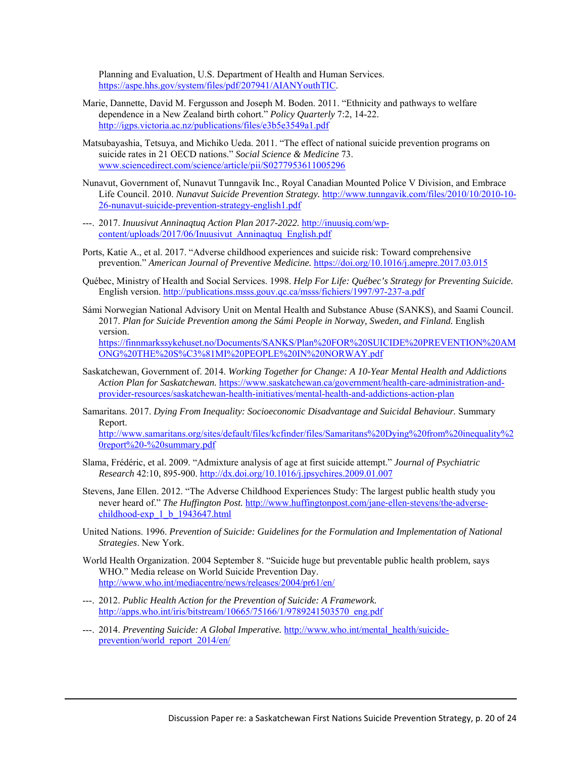Planning and Evaluation, U.S. Department of Health and Human Services. https://aspe.hhs.gov/system/files/pdf/207941/AIANYouthTIC.

- Marie, Dannette, David M. Fergusson and Joseph M. Boden. 2011. "Ethnicity and pathways to welfare dependence in a New Zealand birth cohort." *Policy Quarterly* 7:2, 14-22. http://igps.victoria.ac.nz/publications/files/e3b5e3549a1.pdf
- Matsubayashia, Tetsuya, and Michiko Ueda. 2011. "The effect of national suicide prevention programs on suicide rates in 21 OECD nations." *Social Science & Medicine* 73. www.sciencedirect.com/science/article/pii/S0277953611005296
- Nunavut, Government of, Nunavut Tunngavik Inc., Royal Canadian Mounted Police V Division, and Embrace Life Council. 2010. *Nunavut Suicide Prevention Strategy.* http://www.tunngavik.com/files/2010/10/2010-10- 26-nunavut-suicide-prevention-strategy-english1.pdf
- ---. 2017. *Inuusivut Anninaqtuq Action Plan 2017-2022.* http://inuusiq.com/wpcontent/uploads/2017/06/Inuusivut\_Anninaqtuq\_English.pdf
- Ports, Katie A., et al. 2017. "Adverse childhood experiences and suicide risk: Toward comprehensive prevention." *American Journal of Preventive Medicine.* https://doi.org/10.1016/j.amepre.2017.03.015
- Québec, Ministry of Health and Social Services. 1998. *Help For Life: Québec's Strategy for Preventing Suicide.* English version. http://publications.msss.gouv.qc.ca/msss/fichiers/1997/97-237-a.pdf
- Sámi Norwegian National Advisory Unit on Mental Health and Substance Abuse (SANKS), and Saami Council. 2017. *Plan for Suicide Prevention among the Sámi People in Norway, Sweden, and Finland.* English version. https://finnmarkssykehuset.no/Documents/SANKS/Plan%20FOR%20SUICIDE%20PREVENTION%20AM ONG%20THE%20S%C3%81MI%20PEOPLE%20IN%20NORWAY.pdf
- Saskatchewan, Government of. 2014. *Working Together for Change: A 10-Year Mental Health and Addictions Action Plan for Saskatchewan.* https://www.saskatchewan.ca/government/health-care-administration-andprovider-resources/saskatchewan-health-initiatives/mental-health-and-addictions-action-plan
- Samaritans. 2017. *Dying From Inequality: Socioeconomic Disadvantage and Suicidal Behaviour.* Summary Report. http://www.samaritans.org/sites/default/files/kcfinder/files/Samaritans%20Dying%20from%20inequality%2 0report%20-%20summary.pdf
- Slama, Frédéric, et al. 2009. "Admixture analysis of age at first suicide attempt." *Journal of Psychiatric Research* 42:10, 895-900. http://dx.doi.org/10.1016/j.jpsychires.2009.01.007
- Stevens, Jane Ellen. 2012. "The Adverse Childhood Experiences Study: The largest public health study you never heard of." *The Huffington Post.* http://www.huffingtonpost.com/jane-ellen-stevens/the-adversechildhood-exp\_1\_b\_1943647.html
- United Nations. 1996. *Prevention of Suicide: Guidelines for the Formulation and Implementation of National Strategies*. New York.
- World Health Organization. 2004 September 8. "Suicide huge but preventable public health problem, says WHO." Media release on World Suicide Prevention Day. http://www.who.int/mediacentre/news/releases/2004/pr61/en/
- ---. 2012. *Public Health Action for the Prevention of Suicide: A Framework.* http://apps.who.int/iris/bitstream/10665/75166/1/9789241503570\_eng.pdf
- ---. 2014. *Preventing Suicide: A Global Imperative.* http://www.who.int/mental\_health/suicideprevention/world\_report\_2014/en/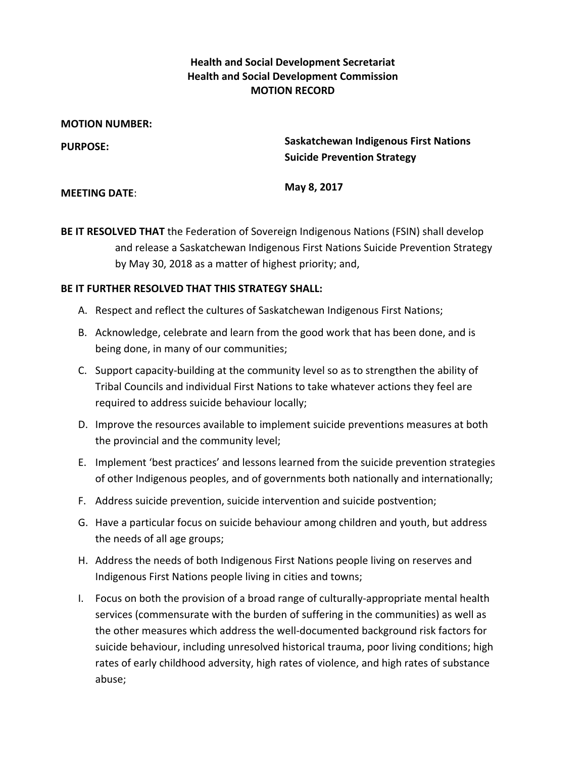### **Health and Social Development Secretariat Health and Social Development Commission MOTION RECORD**

| <b>MOTION NUMBER:</b> |                                                                                    |
|-----------------------|------------------------------------------------------------------------------------|
| <b>PURPOSE:</b>       | <b>Saskatchewan Indigenous First Nations</b><br><b>Suicide Prevention Strategy</b> |
| <b>MEETING DATE:</b>  | May 8, 2017                                                                        |

**BE IT RESOLVED THAT** the Federation of Sovereign Indigenous Nations (FSIN) shall develop and release a Saskatchewan Indigenous First Nations Suicide Prevention Strategy by May 30, 2018 as a matter of highest priority; and,

#### **BE IT FURTHER RESOLVED THAT THIS STRATEGY SHALL:**

- A. Respect and reflect the cultures of Saskatchewan Indigenous First Nations;
- B. Acknowledge, celebrate and learn from the good work that has been done, and is being done, in many of our communities;
- C. Support capacity‐building at the community level so as to strengthen the ability of Tribal Councils and individual First Nations to take whatever actions they feel are required to address suicide behaviour locally;
- D. Improve the resources available to implement suicide preventions measures at both the provincial and the community level;
- E. Implement 'best practices' and lessons learned from the suicide prevention strategies of other Indigenous peoples, and of governments both nationally and internationally;
- F. Address suicide prevention, suicide intervention and suicide postvention;
- G. Have a particular focus on suicide behaviour among children and youth, but address the needs of all age groups;
- H. Address the needs of both Indigenous First Nations people living on reserves and Indigenous First Nations people living in cities and towns;
- I. Focus on both the provision of a broad range of culturally‐appropriate mental health services (commensurate with the burden of suffering in the communities) as well as the other measures which address the well‐documented background risk factors for suicide behaviour, including unresolved historical trauma, poor living conditions; high rates of early childhood adversity, high rates of violence, and high rates of substance abuse;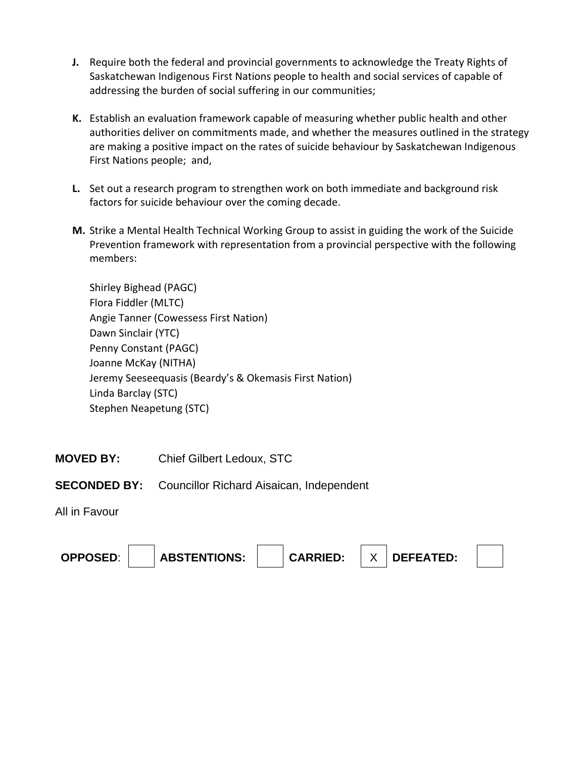- **J.** Require both the federal and provincial governments to acknowledge the Treaty Rights of Saskatchewan Indigenous First Nations people to health and social services of capable of addressing the burden of social suffering in our communities;
- **K.** Establish an evaluation framework capable of measuring whether public health and other authorities deliver on commitments made, and whether the measures outlined in the strategy are making a positive impact on the rates of suicide behaviour by Saskatchewan Indigenous First Nations people; and,
- **L.** Set out a research program to strengthen work on both immediate and background risk factors for suicide behaviour over the coming decade.
- **M.** Strike a Mental Health Technical Working Group to assist in guiding the work of the Suicide Prevention framework with representation from a provincial perspective with the following members:

Shirley Bighead (PAGC) Flora Fiddler (MLTC) Angie Tanner (Cowessess First Nation) Dawn Sinclair (YTC) Penny Constant (PAGC) Joanne McKay (NITHA) Jeremy Seeseequasis (Beardy's & Okemasis First Nation) Linda Barclay (STC) Stephen Neapetung (STC)

**MOVED BY:** Chief Gilbert Ledoux, STC

### **SECONDED BY:** Councillor Richard Aisaican, Independent

All in Favour

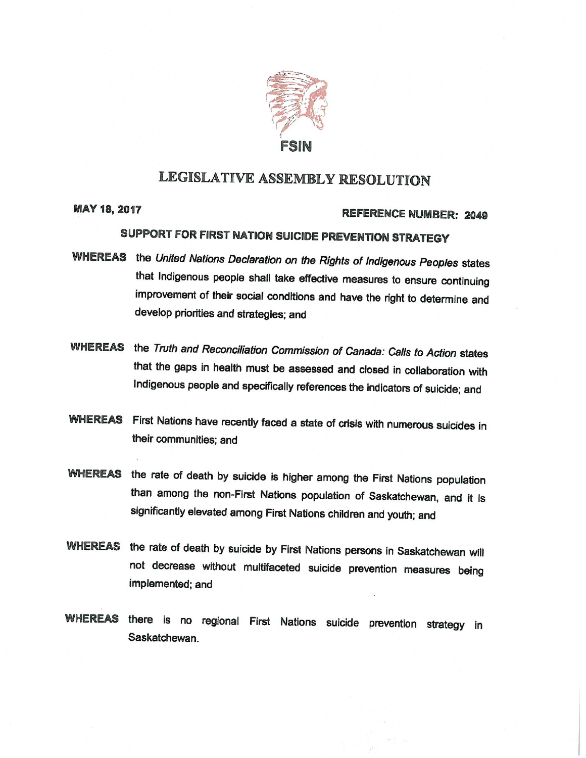

# LEGISLATIVE ASSEMBLY RESOLUTION

**MAY 18, 2017** 

#### REFERENCE NUMBER: 2049

# SUPPORT FOR FIRST NATION SUICIDE PREVENTION STRATEGY

- WHEREAS the United Nations Declaration on the Rights of Indigenous Peoples states that Indigenous people shall take effective measures to ensure continuing improvement of their social conditions and have the right to determine and develop priorities and strategies; and
- WHEREAS the Truth and Reconciliation Commission of Canada: Calls to Action states that the gaps in health must be assessed and closed in collaboration with Indigenous people and specifically references the indicators of suicide; and
- WHEREAS First Nations have recently faced a state of crisis with numerous suicides in their communities: and
- WHEREAS the rate of death by suicide is higher among the First Nations population than among the non-First Nations population of Saskatchewan, and it is significantly elevated among First Nations children and youth; and
- WHEREAS the rate of death by suicide by First Nations persons in Saskatchewan will not decrease without multifaceted suicide prevention measures being implemented; and
- WHEREAS there is no regional First Nations suicide prevention strategy in Saskatchewan